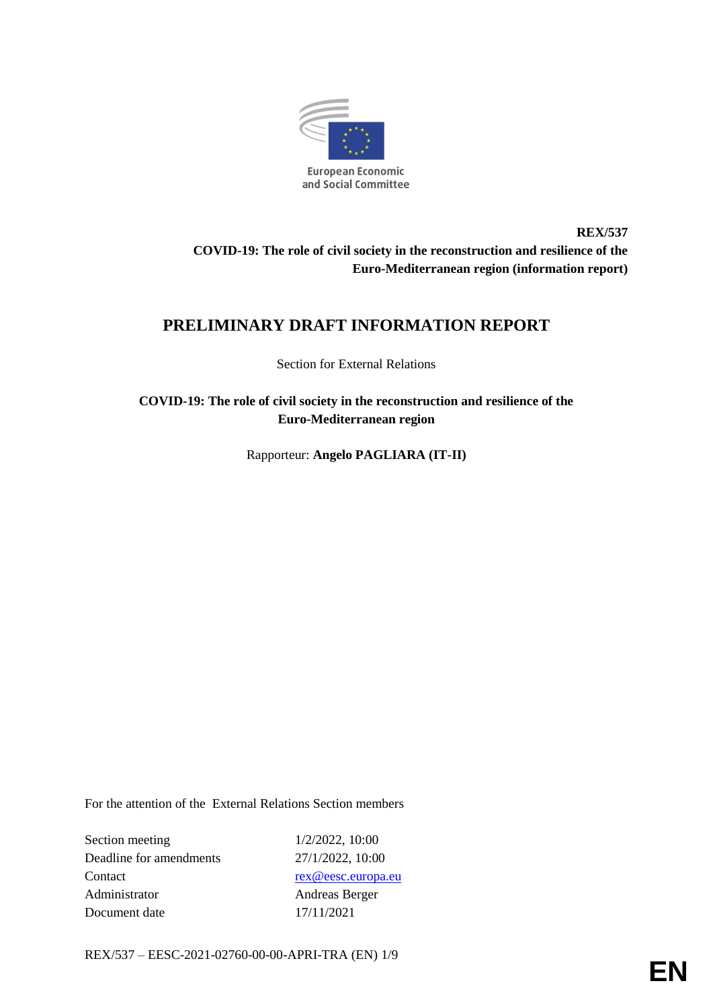

**REX/537 COVID-19: The role of civil society in the reconstruction and resilience of the Euro-Mediterranean region (information report)**

# **PRELIMINARY DRAFT INFORMATION REPORT**

Section for External Relations

**COVID-19: The role of civil society in the reconstruction and resilience of the Euro-Mediterranean region** 

Rapporteur: **Angelo PAGLIARA (IT-II)**

For the attention of the External Relations Section members

Section meeting Deadline for amendments Contact rex @eesc.europa.eu Administrator Andreas Berger Document date 17/11/2021

1/2/2022, 10:00 27/1/2022, 10:00

REX/537 – EESC-2021-02760-00-00-APRI-TRA (EN) 1/9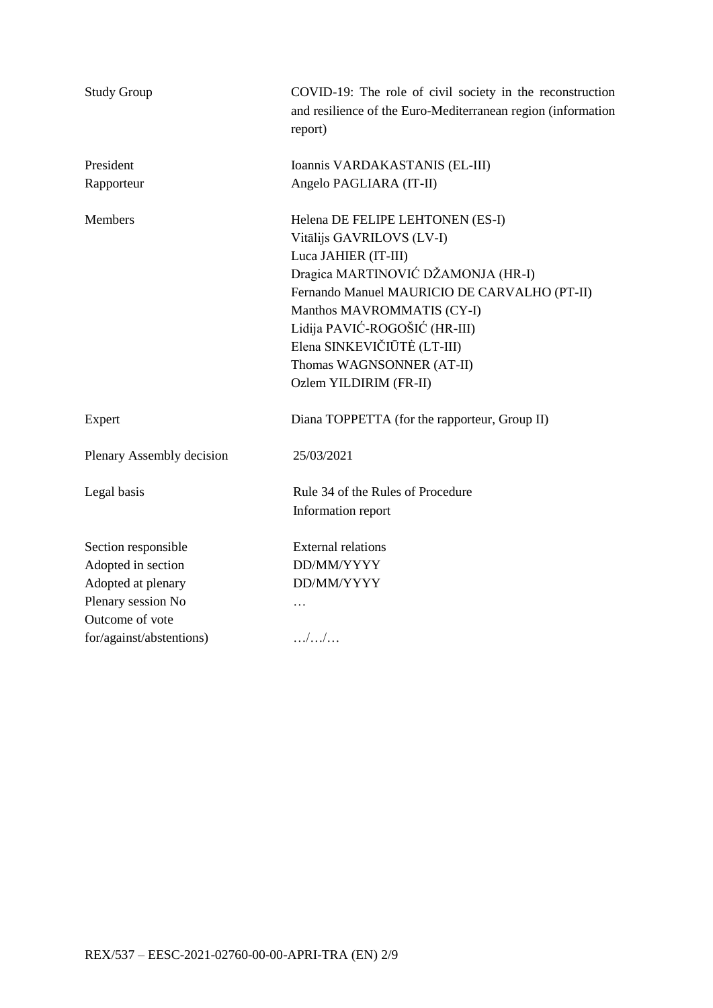| <b>Study Group</b>        | COVID-19: The role of civil society in the reconstruction<br>and resilience of the Euro-Mediterranean region (information<br>report) |
|---------------------------|--------------------------------------------------------------------------------------------------------------------------------------|
| President                 | Ioannis VARDAKASTANIS (EL-III)                                                                                                       |
| Rapporteur                | Angelo PAGLIARA (IT-II)                                                                                                              |
| Members                   | Helena DE FELIPE LEHTONEN (ES-I)                                                                                                     |
|                           | Vitālijs GAVRILOVS (LV-I)                                                                                                            |
|                           | Luca JAHIER (IT-III)                                                                                                                 |
|                           | Dragica MARTINOVIĆ DŽAMONJA (HR-I)                                                                                                   |
|                           | Fernando Manuel MAURICIO DE CARVALHO (PT-II)                                                                                         |
|                           | Manthos MAVROMMATIS (CY-I)                                                                                                           |
|                           | Lidija PAVIĆ-ROGOŠIĆ (HR-III)                                                                                                        |
|                           | Elena SINKEVIČIŪTĖ (LT-III)                                                                                                          |
|                           | Thomas WAGNSONNER (AT-II)                                                                                                            |
|                           | Ozlem YILDIRIM (FR-II)                                                                                                               |
| Expert                    | Diana TOPPETTA (for the rapporteur, Group II)                                                                                        |
| Plenary Assembly decision | 25/03/2021                                                                                                                           |
| Legal basis               | Rule 34 of the Rules of Procedure                                                                                                    |
|                           | Information report                                                                                                                   |
| Section responsible       | <b>External relations</b>                                                                                                            |
| Adopted in section        | DD/MM/YYYY                                                                                                                           |
| Adopted at plenary        | DD/MM/YYYY                                                                                                                           |
| Plenary session No        | $\ddotsc$                                                                                                                            |
| Outcome of vote           |                                                                                                                                      |
| for/against/abstentions)  | $\dots/\dots/\dots$                                                                                                                  |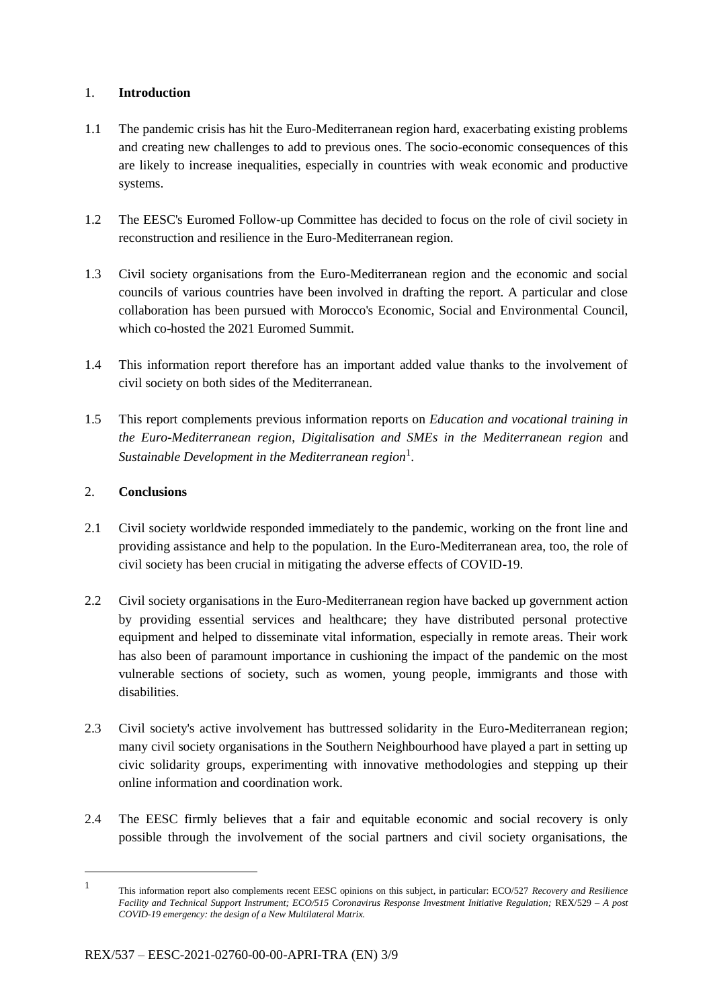## 1. **Introduction**

- 1.1 The pandemic crisis has hit the Euro-Mediterranean region hard, exacerbating existing problems and creating new challenges to add to previous ones. The socio-economic consequences of this are likely to increase inequalities, especially in countries with weak economic and productive systems.
- 1.2 The EESC's Euromed Follow-up Committee has decided to focus on the role of civil society in reconstruction and resilience in the Euro-Mediterranean region.
- 1.3 Civil society organisations from the Euro-Mediterranean region and the economic and social councils of various countries have been involved in drafting the report. A particular and close collaboration has been pursued with Morocco's Economic, Social and Environmental Council, which co-hosted the 2021 Euromed Summit.
- 1.4 This information report therefore has an important added value thanks to the involvement of civil society on both sides of the Mediterranean.
- 1.5 This report complements previous information reports on *Education and vocational training in the Euro-Mediterranean region*, *Digitalisation and SMEs in the Mediterranean region* and *Sustainable Development in the Mediterranean region*<sup>1</sup> .

# 2. **Conclusions**

- 2.1 Civil society worldwide responded immediately to the pandemic, working on the front line and providing assistance and help to the population. In the Euro-Mediterranean area, too, the role of civil society has been crucial in mitigating the adverse effects of COVID-19.
- 2.2 Civil society organisations in the Euro-Mediterranean region have backed up government action by providing essential services and healthcare; they have distributed personal protective equipment and helped to disseminate vital information, especially in remote areas. Their work has also been of paramount importance in cushioning the impact of the pandemic on the most vulnerable sections of society, such as women, young people, immigrants and those with disabilities.
- 2.3 Civil society's active involvement has buttressed solidarity in the Euro-Mediterranean region; many civil society organisations in the Southern Neighbourhood have played a part in setting up civic solidarity groups, experimenting with innovative methodologies and stepping up their online information and coordination work.
- 2.4 The EESC firmly believes that a fair and equitable economic and social recovery is only possible through the involvement of the social partners and civil society organisations, the

<sup>1</sup> This information report also complements recent EESC opinions on this subject, in particular: ECO/527 *Recovery and Resilience Facility and Technical Support Instrument; ECO/515 Coronavirus Response Investment Initiative Regulation;* REX/529 – *A post COVID-19 emergency: the design of a New Multilateral Matrix.*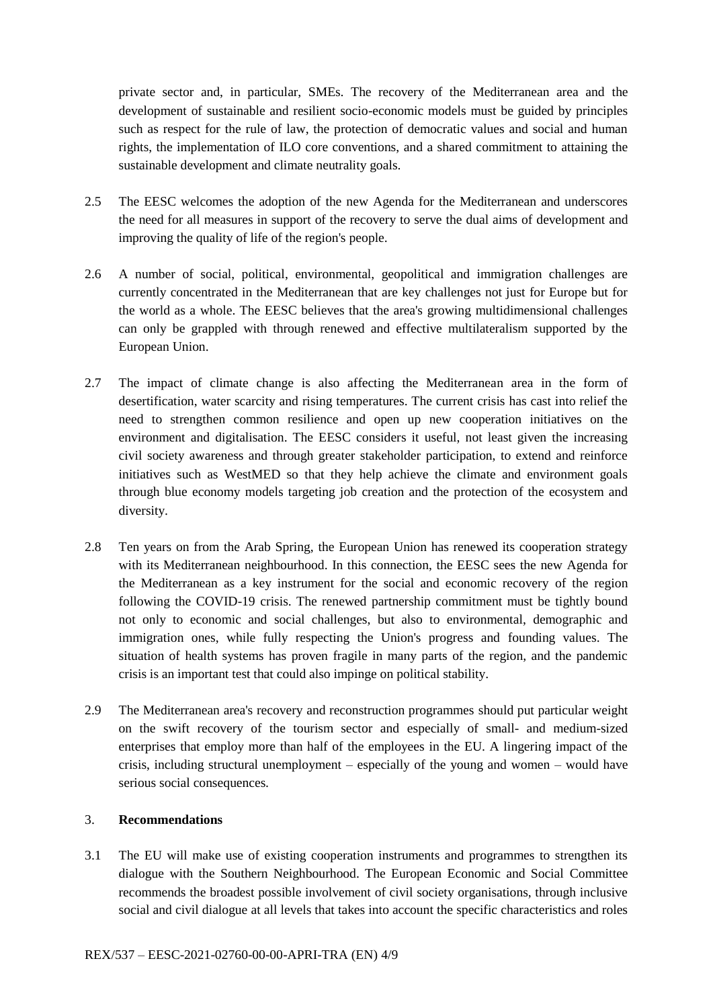private sector and, in particular, SMEs. The recovery of the Mediterranean area and the development of sustainable and resilient socio-economic models must be guided by principles such as respect for the rule of law, the protection of democratic values and social and human rights, the implementation of ILO core conventions, and a shared commitment to attaining the sustainable development and climate neutrality goals.

- 2.5 The EESC welcomes the adoption of the new Agenda for the Mediterranean and underscores the need for all measures in support of the recovery to serve the dual aims of development and improving the quality of life of the region's people.
- 2.6 A number of social, political, environmental, geopolitical and immigration challenges are currently concentrated in the Mediterranean that are key challenges not just for Europe but for the world as a whole. The EESC believes that the area's growing multidimensional challenges can only be grappled with through renewed and effective multilateralism supported by the European Union.
- 2.7 The impact of climate change is also affecting the Mediterranean area in the form of desertification, water scarcity and rising temperatures. The current crisis has cast into relief the need to strengthen common resilience and open up new cooperation initiatives on the environment and digitalisation. The EESC considers it useful, not least given the increasing civil society awareness and through greater stakeholder participation, to extend and reinforce initiatives such as WestMED so that they help achieve the climate and environment goals through blue economy models targeting job creation and the protection of the ecosystem and diversity.
- 2.8 Ten years on from the Arab Spring, the European Union has renewed its cooperation strategy with its Mediterranean neighbourhood. In this connection, the EESC sees the new Agenda for the Mediterranean as a key instrument for the social and economic recovery of the region following the COVID-19 crisis. The renewed partnership commitment must be tightly bound not only to economic and social challenges, but also to environmental, demographic and immigration ones, while fully respecting the Union's progress and founding values. The situation of health systems has proven fragile in many parts of the region, and the pandemic crisis is an important test that could also impinge on political stability.
- 2.9 The Mediterranean area's recovery and reconstruction programmes should put particular weight on the swift recovery of the tourism sector and especially of small- and medium-sized enterprises that employ more than half of the employees in the EU. A lingering impact of the crisis, including structural unemployment – especially of the young and women – would have serious social consequences.

## 3. **Recommendations**

3.1 The EU will make use of existing cooperation instruments and programmes to strengthen its dialogue with the Southern Neighbourhood. The European Economic and Social Committee recommends the broadest possible involvement of civil society organisations, through inclusive social and civil dialogue at all levels that takes into account the specific characteristics and roles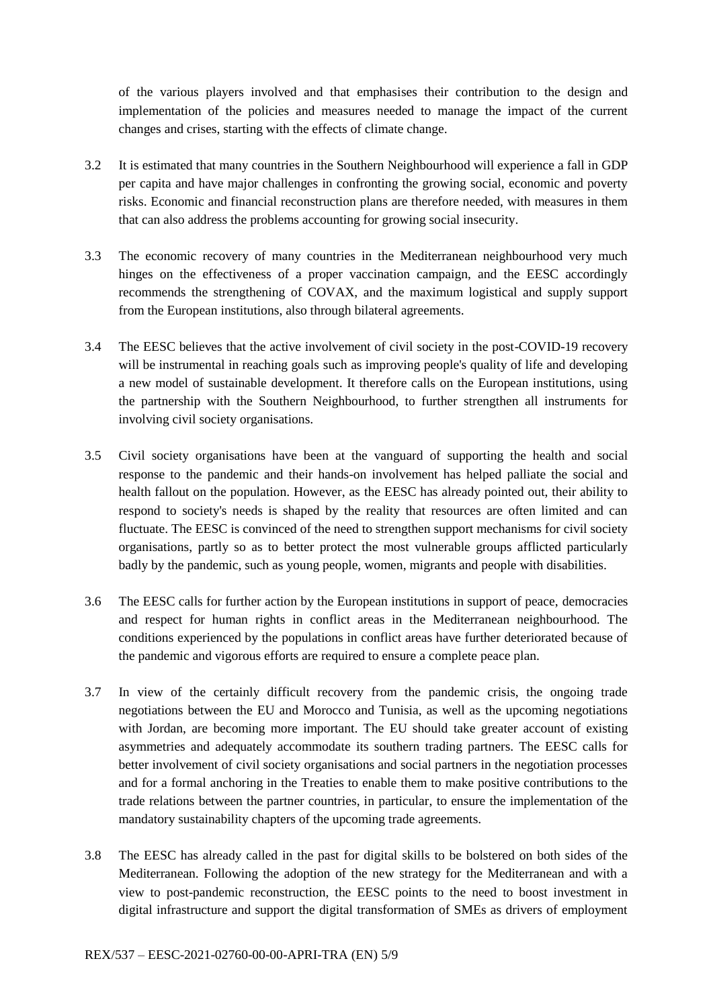of the various players involved and that emphasises their contribution to the design and implementation of the policies and measures needed to manage the impact of the current changes and crises, starting with the effects of climate change.

- 3.2 It is estimated that many countries in the Southern Neighbourhood will experience a fall in GDP per capita and have major challenges in confronting the growing social, economic and poverty risks. Economic and financial reconstruction plans are therefore needed, with measures in them that can also address the problems accounting for growing social insecurity.
- 3.3 The economic recovery of many countries in the Mediterranean neighbourhood very much hinges on the effectiveness of a proper vaccination campaign, and the EESC accordingly recommends the strengthening of COVAX, and the maximum logistical and supply support from the European institutions, also through bilateral agreements.
- 3.4 The EESC believes that the active involvement of civil society in the post-COVID-19 recovery will be instrumental in reaching goals such as improving people's quality of life and developing a new model of sustainable development. It therefore calls on the European institutions, using the partnership with the Southern Neighbourhood, to further strengthen all instruments for involving civil society organisations.
- 3.5 Civil society organisations have been at the vanguard of supporting the health and social response to the pandemic and their hands-on involvement has helped palliate the social and health fallout on the population. However, as the EESC has already pointed out, their ability to respond to society's needs is shaped by the reality that resources are often limited and can fluctuate. The EESC is convinced of the need to strengthen support mechanisms for civil society organisations, partly so as to better protect the most vulnerable groups afflicted particularly badly by the pandemic, such as young people, women, migrants and people with disabilities.
- 3.6 The EESC calls for further action by the European institutions in support of peace, democracies and respect for human rights in conflict areas in the Mediterranean neighbourhood. The conditions experienced by the populations in conflict areas have further deteriorated because of the pandemic and vigorous efforts are required to ensure a complete peace plan.
- 3.7 In view of the certainly difficult recovery from the pandemic crisis, the ongoing trade negotiations between the EU and Morocco and Tunisia, as well as the upcoming negotiations with Jordan, are becoming more important. The EU should take greater account of existing asymmetries and adequately accommodate its southern trading partners. The EESC calls for better involvement of civil society organisations and social partners in the negotiation processes and for a formal anchoring in the Treaties to enable them to make positive contributions to the trade relations between the partner countries, in particular, to ensure the implementation of the mandatory sustainability chapters of the upcoming trade agreements.
- 3.8 The EESC has already called in the past for digital skills to be bolstered on both sides of the Mediterranean. Following the adoption of the new strategy for the Mediterranean and with a view to post-pandemic reconstruction, the EESC points to the need to boost investment in digital infrastructure and support the digital transformation of SMEs as drivers of employment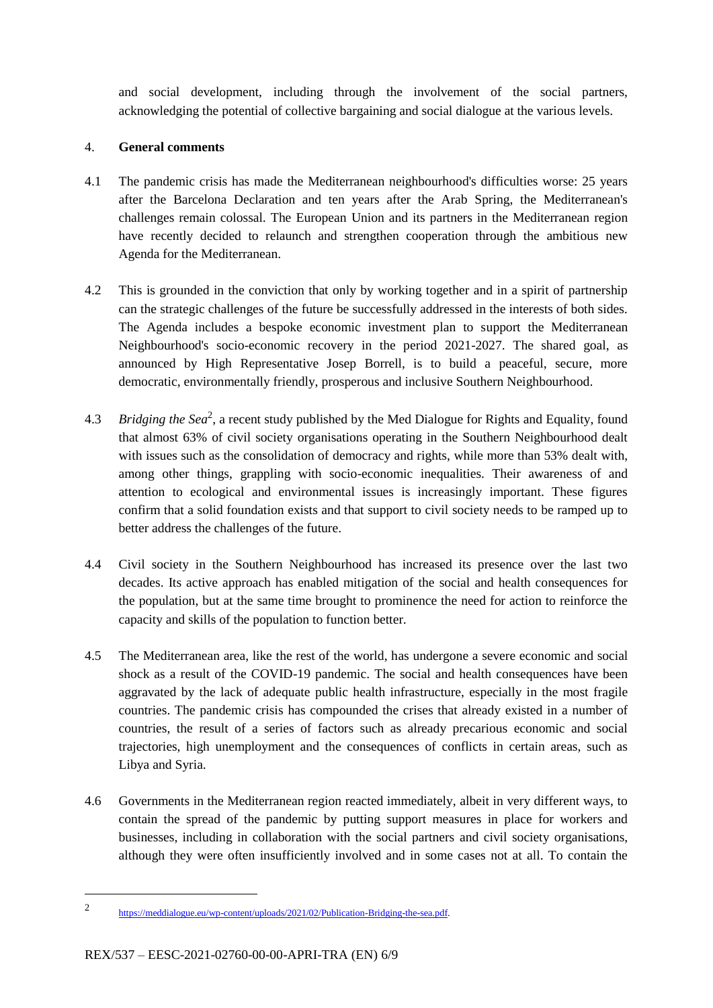and social development, including through the involvement of the social partners, acknowledging the potential of collective bargaining and social dialogue at the various levels.

# 4. **General comments**

- 4.1 The pandemic crisis has made the Mediterranean neighbourhood's difficulties worse: 25 years after the Barcelona Declaration and ten years after the Arab Spring, the Mediterranean's challenges remain colossal. The European Union and its partners in the Mediterranean region have recently decided to relaunch and strengthen cooperation through the ambitious new Agenda for the Mediterranean.
- 4.2 This is grounded in the conviction that only by working together and in a spirit of partnership can the strategic challenges of the future be successfully addressed in the interests of both sides. The Agenda includes a bespoke economic investment plan to support the Mediterranean Neighbourhood's socio-economic recovery in the period 2021-2027. The shared goal, as announced by High Representative Josep Borrell, is to build a peaceful, secure, more democratic, environmentally friendly, prosperous and inclusive Southern Neighbourhood.
- 4.3 *Bridging the Sea*<sup>2</sup>, a recent study published by the Med Dialogue for Rights and Equality, found that almost 63% of civil society organisations operating in the Southern Neighbourhood dealt with issues such as the consolidation of democracy and rights, while more than 53% dealt with, among other things, grappling with socio-economic inequalities. Their awareness of and attention to ecological and environmental issues is increasingly important. These figures confirm that a solid foundation exists and that support to civil society needs to be ramped up to better address the challenges of the future.
- 4.4 Civil society in the Southern Neighbourhood has increased its presence over the last two decades. Its active approach has enabled mitigation of the social and health consequences for the population, but at the same time brought to prominence the need for action to reinforce the capacity and skills of the population to function better.
- 4.5 The Mediterranean area, like the rest of the world, has undergone a severe economic and social shock as a result of the COVID-19 pandemic. The social and health consequences have been aggravated by the lack of adequate public health infrastructure, especially in the most fragile countries. The pandemic crisis has compounded the crises that already existed in a number of countries, the result of a series of factors such as already precarious economic and social trajectories, high unemployment and the consequences of conflicts in certain areas, such as Libya and Syria.
- 4.6 Governments in the Mediterranean region reacted immediately, albeit in very different ways, to contain the spread of the pandemic by putting support measures in place for workers and businesses, including in collaboration with the social partners and civil society organisations, although they were often insufficiently involved and in some cases not at all. To contain the

<sup>2</sup> [https://meddialogue.eu/wp-content/uploads/2021/02/Publication-Bridging-the-sea.pdf.](https://meddialogue.eu/wp-content/uploads/2021/02/Publication-Bridging-the-sea.pdf)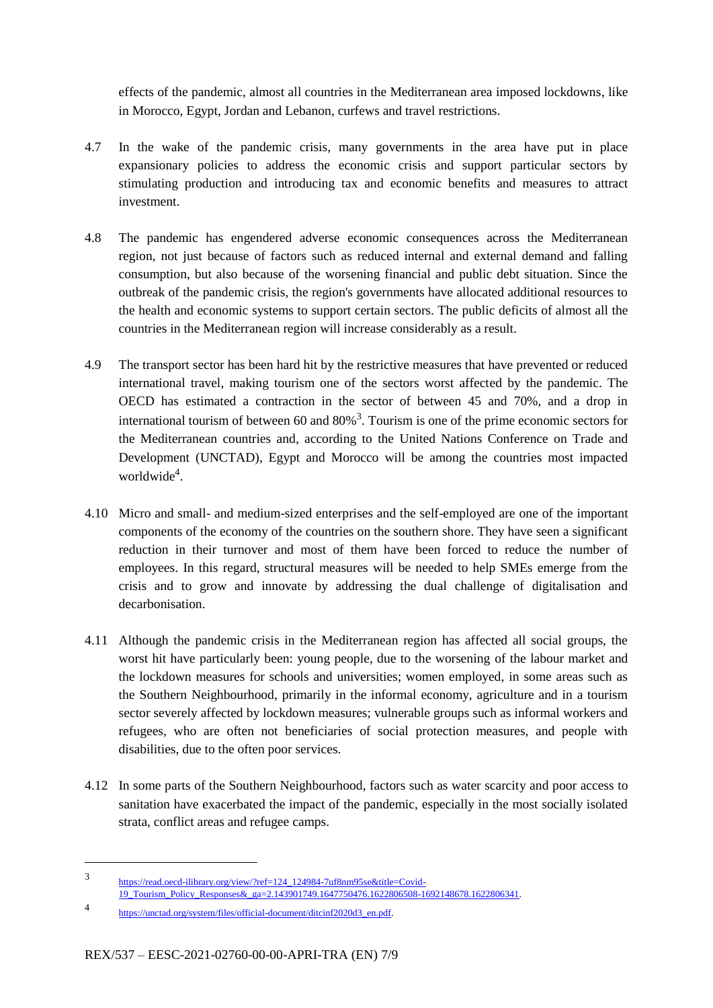effects of the pandemic, almost all countries in the Mediterranean area imposed lockdowns, like in Morocco, Egypt, Jordan and Lebanon, curfews and travel restrictions.

- 4.7 In the wake of the pandemic crisis, many governments in the area have put in place expansionary policies to address the economic crisis and support particular sectors by stimulating production and introducing tax and economic benefits and measures to attract investment.
- 4.8 The pandemic has engendered adverse economic consequences across the Mediterranean region, not just because of factors such as reduced internal and external demand and falling consumption, but also because of the worsening financial and public debt situation. Since the outbreak of the pandemic crisis, the region's governments have allocated additional resources to the health and economic systems to support certain sectors. The public deficits of almost all the countries in the Mediterranean region will increase considerably as a result.
- 4.9 The transport sector has been hard hit by the restrictive measures that have prevented or reduced international travel, making tourism one of the sectors worst affected by the pandemic. The OECD has estimated a contraction in the sector of between 45 and 70%, and a drop in international tourism of between 60 and  $80\%$ <sup>3</sup>. Tourism is one of the prime economic sectors for the Mediterranean countries and, according to the United Nations Conference on Trade and Development (UNCTAD), Egypt and Morocco will be among the countries most impacted worldwide<sup>4</sup>.
- 4.10 Micro and small- and medium-sized enterprises and the self-employed are one of the important components of the economy of the countries on the southern shore. They have seen a significant reduction in their turnover and most of them have been forced to reduce the number of employees. In this regard, structural measures will be needed to help SMEs emerge from the crisis and to grow and innovate by addressing the dual challenge of digitalisation and decarbonisation.
- 4.11 Although the pandemic crisis in the Mediterranean region has affected all social groups, the worst hit have particularly been: young people, due to the worsening of the labour market and the lockdown measures for schools and universities; women employed, in some areas such as the Southern Neighbourhood, primarily in the informal economy, agriculture and in a tourism sector severely affected by lockdown measures; vulnerable groups such as informal workers and refugees, who are often not beneficiaries of social protection measures, and people with disabilities, due to the often poor services.
- 4.12 In some parts of the Southern Neighbourhood, factors such as water scarcity and poor access to sanitation have exacerbated the impact of the pandemic, especially in the most socially isolated strata, conflict areas and refugee camps.

<sup>3</sup> [https://read.oecd-ilibrary.org/view/?ref=124\\_124984-7uf8nm95se&title=Covid-](https://read.oecd-ilibrary.org/view/?ref=124_124984-7uf8nm95se&title=Covid-19_Tourism_Policy_Responses&_ga=2.143901749.1647750476.1622806508-1692148678.1622806341)[19\\_Tourism\\_Policy\\_Responses&\\_ga=2.143901749.1647750476.1622806508-1692148678.1622806341.](https://read.oecd-ilibrary.org/view/?ref=124_124984-7uf8nm95se&title=Covid-19_Tourism_Policy_Responses&_ga=2.143901749.1647750476.1622806508-1692148678.1622806341) 

<sup>4</sup> [https://unctad.org/system/files/official-document/ditcinf2020d3\\_en.pdf.](https://unctad.org/system/files/official-document/ditcinf2020d3_en.pdf)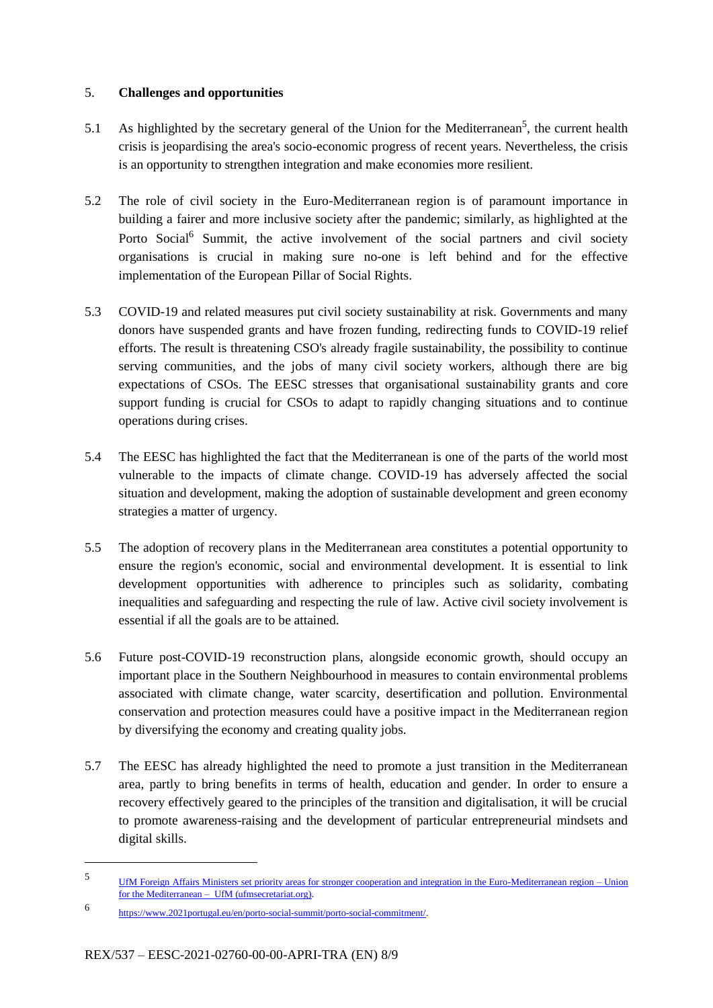## 5. **Challenges and opportunities**

- 5.1 As highlighted by the secretary general of the Union for the Mediterranean<sup>5</sup>, the current health crisis is jeopardising the area's socio-economic progress of recent years. Nevertheless, the crisis is an opportunity to strengthen integration and make economies more resilient.
- 5.2 The role of civil society in the Euro-Mediterranean region is of paramount importance in building a fairer and more inclusive society after the pandemic; similarly, as highlighted at the Porto Social<sup>6</sup> Summit, the active involvement of the social partners and civil society organisations is crucial in making sure no-one is left behind and for the effective implementation of the European Pillar of Social Rights.
- 5.3 COVID-19 and related measures put civil society sustainability at risk. Governments and many donors have suspended grants and have frozen funding, redirecting funds to COVID-19 relief efforts. The result is threatening CSO's already fragile sustainability, the possibility to continue serving communities, and the jobs of many civil society workers, although there are big expectations of CSOs. The EESC stresses that organisational sustainability grants and core support funding is crucial for CSOs to adapt to rapidly changing situations and to continue operations during crises.
- 5.4 The EESC has highlighted the fact that the Mediterranean is one of the parts of the world most vulnerable to the impacts of climate change. COVID-19 has adversely affected the social situation and development, making the adoption of sustainable development and green economy strategies a matter of urgency.
- 5.5 The adoption of recovery plans in the Mediterranean area constitutes a potential opportunity to ensure the region's economic, social and environmental development. It is essential to link development opportunities with adherence to principles such as solidarity, combating inequalities and safeguarding and respecting the rule of law. Active civil society involvement is essential if all the goals are to be attained.
- 5.6 Future post-COVID-19 reconstruction plans, alongside economic growth, should occupy an important place in the Southern Neighbourhood in measures to contain environmental problems associated with climate change, water scarcity, desertification and pollution. Environmental conservation and protection measures could have a positive impact in the Mediterranean region by diversifying the economy and creating quality jobs.
- 5.7 The EESC has already highlighted the need to promote a just transition in the Mediterranean area, partly to bring benefits in terms of health, education and gender. In order to ensure a recovery effectively geared to the principles of the transition and digitalisation, it will be crucial to promote awareness-raising and the development of particular entrepreneurial mindsets and digital skills.

<sup>5</sup> [UfM Foreign Affairs Ministers set priority areas for stronger cooperation and integration in the Euro-Mediterranean region –](https://ufmsecretariat.org/5th-regional-forum-news/) Union for the Mediterranean – [UfM \(ufmsecretariat.org\).](https://ufmsecretariat.org/5th-regional-forum-news/)

<sup>6</sup> [https://www.2021portugal.eu/en/porto-social-summit/porto-social-commitment/.](https://www.2021portugal.eu/en/porto-social-summit/porto-social-commitment/)